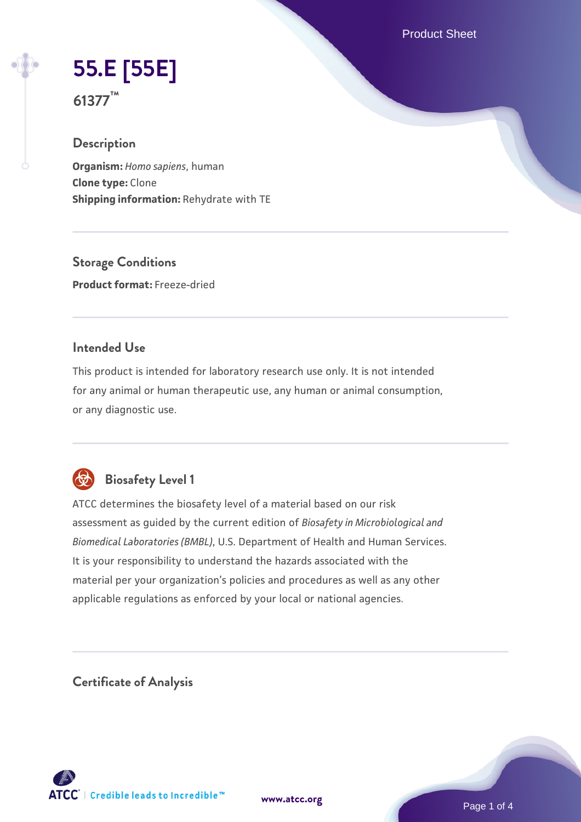Product Sheet

# **[55.E \[55E\]](https://www.atcc.org/products/61377)**

**61377™**

## **Description**

**Organism:** *Homo sapiens*, human **Clone type:** Clone **Shipping information:** Rehydrate with TE

**Storage Conditions Product format:** Freeze-dried

## **Intended Use**

This product is intended for laboratory research use only. It is not intended for any animal or human therapeutic use, any human or animal consumption, or any diagnostic use.



## **Biosafety Level 1**

ATCC determines the biosafety level of a material based on our risk assessment as guided by the current edition of *Biosafety in Microbiological and Biomedical Laboratories (BMBL)*, U.S. Department of Health and Human Services. It is your responsibility to understand the hazards associated with the material per your organization's policies and procedures as well as any other applicable regulations as enforced by your local or national agencies.

**Certificate of Analysis**

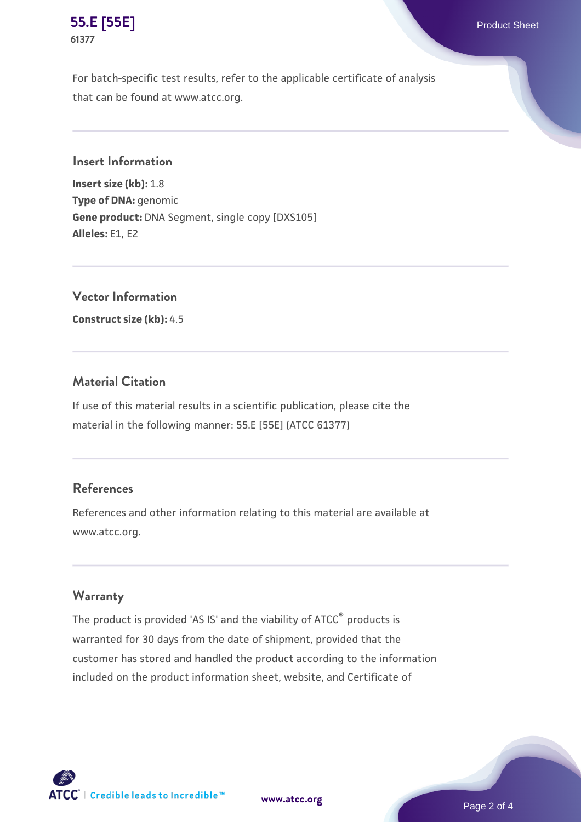

For batch-specific test results, refer to the applicable certificate of analysis that can be found at www.atcc.org.

**Insert Information**

**Insert size (kb):** 1.8 **Type of DNA:** genomic **Gene product:** DNA Segment, single copy [DXS105] **Alleles:** E1, E2

**Vector Information**

**Construct size (kb):** 4.5

## **Material Citation**

If use of this material results in a scientific publication, please cite the material in the following manner: 55.E [55E] (ATCC 61377)

## **References**

References and other information relating to this material are available at www.atcc.org.

#### **Warranty**

The product is provided 'AS IS' and the viability of ATCC® products is warranted for 30 days from the date of shipment, provided that the customer has stored and handled the product according to the information included on the product information sheet, website, and Certificate of



**[www.atcc.org](http://www.atcc.org)**

Page 2 of 4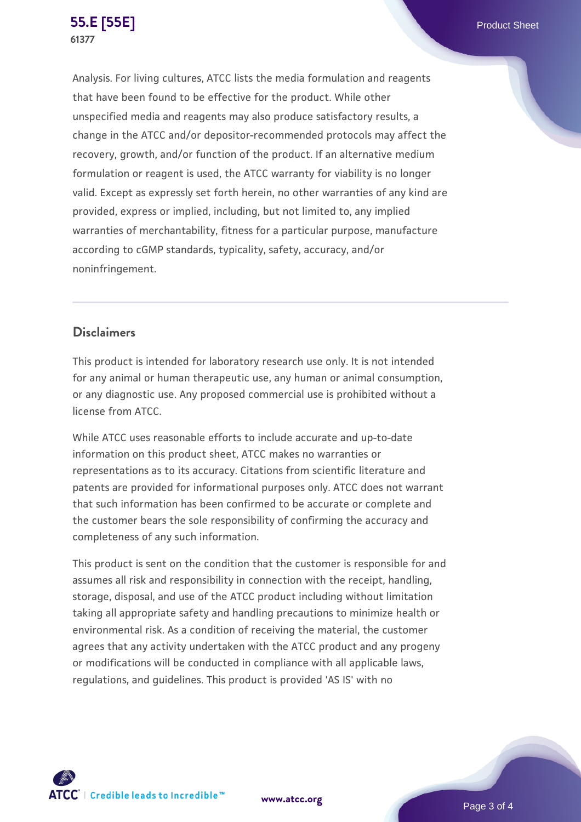Analysis. For living cultures, ATCC lists the media formulation and reagents that have been found to be effective for the product. While other unspecified media and reagents may also produce satisfactory results, a change in the ATCC and/or depositor-recommended protocols may affect the recovery, growth, and/or function of the product. If an alternative medium formulation or reagent is used, the ATCC warranty for viability is no longer valid. Except as expressly set forth herein, no other warranties of any kind are provided, express or implied, including, but not limited to, any implied warranties of merchantability, fitness for a particular purpose, manufacture according to cGMP standards, typicality, safety, accuracy, and/or noninfringement.

## **Disclaimers**

This product is intended for laboratory research use only. It is not intended for any animal or human therapeutic use, any human or animal consumption, or any diagnostic use. Any proposed commercial use is prohibited without a license from ATCC.

While ATCC uses reasonable efforts to include accurate and up-to-date information on this product sheet, ATCC makes no warranties or representations as to its accuracy. Citations from scientific literature and patents are provided for informational purposes only. ATCC does not warrant that such information has been confirmed to be accurate or complete and the customer bears the sole responsibility of confirming the accuracy and completeness of any such information.

This product is sent on the condition that the customer is responsible for and assumes all risk and responsibility in connection with the receipt, handling, storage, disposal, and use of the ATCC product including without limitation taking all appropriate safety and handling precautions to minimize health or environmental risk. As a condition of receiving the material, the customer agrees that any activity undertaken with the ATCC product and any progeny or modifications will be conducted in compliance with all applicable laws, regulations, and guidelines. This product is provided 'AS IS' with no



**[www.atcc.org](http://www.atcc.org)**